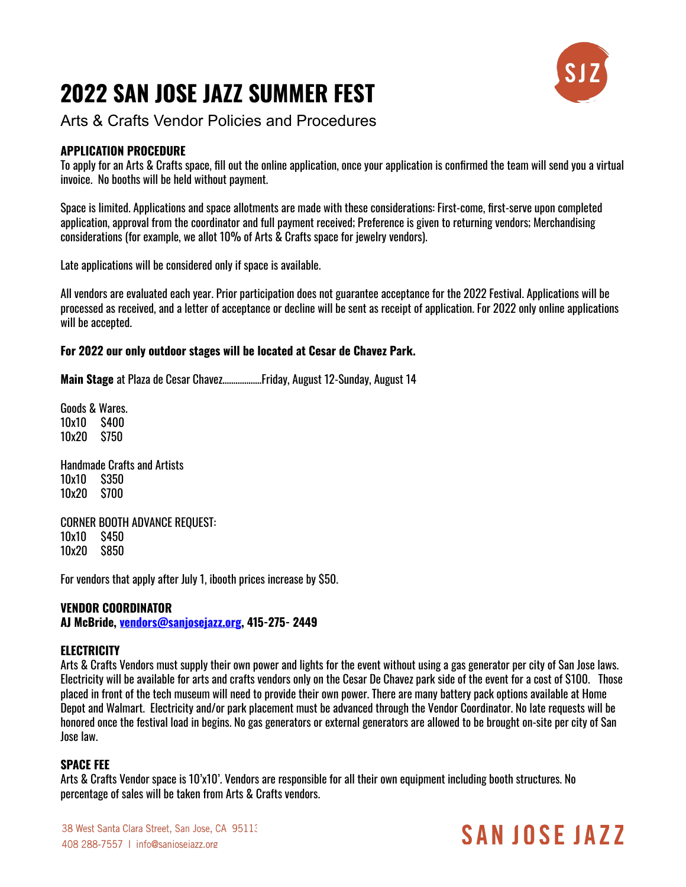# **2022 SAN JOSE JAZZ SUMMER FEST**



Arts & Crafts Vendor Policies and Procedures

### **APPLICATION PROCEDURE**

To apply for an Arts & Crafts space, fill out the online application, once your application is confirmed the team will send you a virtual invoice. No booths will be held without payment.

Space is limited. Applications and space allotments are made with these considerations: First-come, first-serve upon completed application, approval from the coordinator and full payment received; Preference is given to returning vendors; Merchandising considerations (for example, we allot 10% of Arts & Crafts space for jewelry vendors).

Late applications will be considered only if space is available.

All vendors are evaluated each year. Prior participation does not guarantee acceptance for the 2022 Festival. Applications will be processed as received, and a letter of acceptance or decline will be sent as receipt of application. For 2022 only online applications will be accepted.

#### **For 2022 our only outdoor stages will be located at Cesar de Chavez Park.**

**Main Stage** at Plaza de Cesar Chavez………………Friday, August 12-Sunday, August 14

Goods & Wares. 10x10 \$400 10x20 \$750

Handmade Crafts and Artists 10x10 \$350 10x20 \$700

CORNER BOOTH ADVANCE REQUEST: 10x10 \$450 10x20 \$850

For vendors that apply after July 1, ibooth prices increase by \$50.

#### **VENDOR COORDINATOR**

**AJ McBride, [vendors@sanjosejazz.org](mailto:vendors@sanjosejazz.org), 415-275- 2449**

#### **ELECTRICITY**

Arts & Crafts Vendors must supply their own power and lights for the event without using a gas generator per city of San Jose laws. Electricity will be available for arts and crafts vendors only on the Cesar De Chavez park side of the event for a cost of \$100. Those placed in front of the tech museum will need to provide their own power. There are many battery pack options available at Home Depot and Walmart. Electricity and/or park placement must be advanced through the Vendor Coordinator. No late requests will be honored once the festival load in begins. No gas generators or external generators are allowed to be brought on-site per city of San Jose law.

#### **SPACE FEE**

Arts & Crafts Vendor space is 10'x10'. Vendors are responsible for all their own equipment including booth structures. No percentage of sales will be taken from Arts & Crafts vendors.

# SAN INSE JAZZ